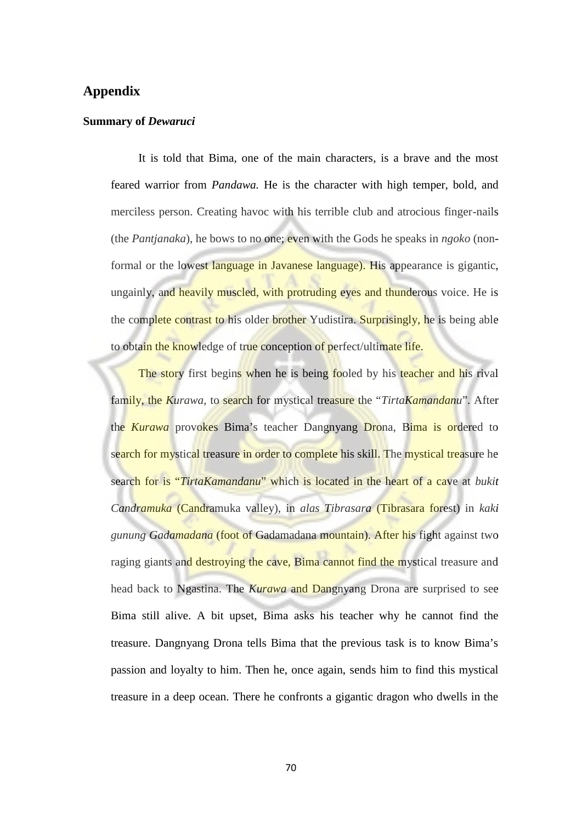## **Appendix**

## **Summary of** *Dewaruci*

It is told that Bima, one of the main characters, is a brave and the most feared warrior from *Pandawa.* He is the character with high temper, bold, and merciless person. Creating havoc with his terrible club and atrocious finger-nails (the *Pantjanaka*), he bows to no one; even with the Gods he speaks in *ngoko* (nonformal or the lowest language in Javanese language). His appearance is gigantic, ungainly, and heavily muscled, with protruding eyes and thunderous voice. He is the complete contrast to his older brother Yudistira. Surprisingly, he is being able to obtain the knowledge of true conception of perfect/ultimate life.

The story first begins when he is being fooled by his teacher and his rival family, the *Kurawa,* to search for mystical treasure the "*TirtaKamandanu*". After the *Kurawa* provokes Bima's teacher Dangnyang Drona, Bima is ordered to search for mystical treasure in order to complete his skill. The mystical treasure he search for is "*TirtaKamandanu*" which is located in the heart of a cave at *bukit Candramuka* (Candramuka valley), in *alas Tibrasara* (Tibrasara forest) in *kaki gunung Gadamadana* (foot of Gadamadana mountain). After his fight against two raging giants and destroying the cave, Bima cannot find the mystical treasure and head back to Ngastina. The *Kurawa* and Dangnyang Drona are surprised to see Bima still alive. A bit upset, Bima asks his teacher why he cannot find the treasure. Dangnyang Drona tells Bima that the previous task is to know Bima's passion and loyalty to him. Then he, once again, sends him to find this mystical treasure in a deep ocean. There he confronts a gigantic dragon who dwells in the